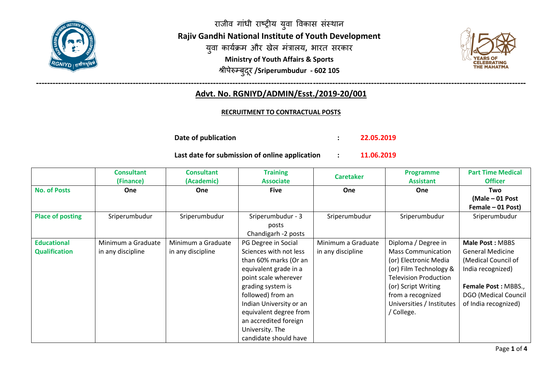

राजीव गांधी राष्ट्रीय युवा विकास संस्थान **Rajiv Gandhi National Institute of Youth Development** युवा कार्यक्रम और खेल मंत्रालय, भारत सरकार **Ministry of Youth Affairs & Sports** श्रीपेरुम्बुदरू **/Sriperumbudur - 602 105**



## **--------------------------------------------------------------------------------------------------------------------------------------------------------------------------------- Advt. No. RGNIYD/ADMIN/Esst./2019-20/001**

#### **RECRUITMENT TO CONTRACTUAL POSTS**

**Date of publication : 22.05.2019**

**Last date for submission of online application : 11.06.2019**

|                         | <b>Consultant</b><br>(Finance) | Consultant<br>(Academic) | <b>Training</b><br><b>Associate</b> | <b>Caretaker</b>   | <b>Programme</b><br><b>Assistant</b> | <b>Part Time Medical</b><br><b>Officer</b> |
|-------------------------|--------------------------------|--------------------------|-------------------------------------|--------------------|--------------------------------------|--------------------------------------------|
| <b>No. of Posts</b>     | One                            | <b>One</b>               | <b>Five</b>                         | One                | One                                  | Two                                        |
|                         |                                |                          |                                     |                    |                                      | (Male - 01 Post                            |
|                         |                                |                          |                                     |                    |                                      | Female - 01 Post)                          |
| <b>Place of posting</b> | Sriperumbudur                  | Sriperumbudur            | Sriperumbudur - 3                   | Sriperumbudur      | Sriperumbudur                        | Sriperumbudur                              |
|                         |                                |                          | posts                               |                    |                                      |                                            |
|                         |                                |                          | Chandigarh -2 posts                 |                    |                                      |                                            |
| <b>Educational</b>      | Minimum a Graduate             | Minimum a Graduate       | PG Degree in Social                 | Minimum a Graduate | Diploma / Degree in                  | <b>Male Post: MBBS</b>                     |
| <b>Qualification</b>    | in any discipline              | in any discipline        | Sciences with not less              | in any discipline  | <b>Mass Communication</b>            | <b>General Medicine</b>                    |
|                         |                                |                          | than 60% marks (Or an               |                    | (or) Electronic Media                | (Medical Council of                        |
|                         |                                |                          | equivalent grade in a               |                    | (or) Film Technology &               | India recognized)                          |
|                         |                                |                          | point scale wherever                |                    | <b>Television Production</b>         |                                            |
|                         |                                |                          | grading system is                   |                    | (or) Script Writing                  | Female Post: MBBS.,                        |
|                         |                                |                          | followed) from an                   |                    | from a recognized                    | <b>DGO</b> (Medical Council                |
|                         |                                |                          | Indian University or an             |                    | Universities / Institutes            | of India recognized)                       |
|                         |                                |                          | equivalent degree from              |                    | / College.                           |                                            |
|                         |                                |                          | an accredited foreign               |                    |                                      |                                            |
|                         |                                |                          | University. The                     |                    |                                      |                                            |
|                         |                                |                          | candidate should have               |                    |                                      |                                            |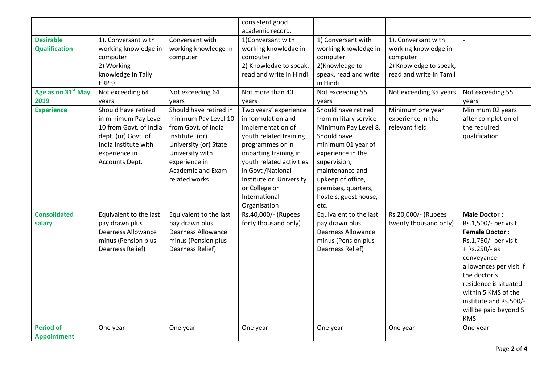|                                          |                                                                                                                                                         |                                                                                                                                                                                            | consistent good<br>academic record.                                                                                                                                                                                                                                   |                                                                                                                                                                                                                                                |                                                                                                              |                                                                                                                                                                                                                                                                                     |
|------------------------------------------|---------------------------------------------------------------------------------------------------------------------------------------------------------|--------------------------------------------------------------------------------------------------------------------------------------------------------------------------------------------|-----------------------------------------------------------------------------------------------------------------------------------------------------------------------------------------------------------------------------------------------------------------------|------------------------------------------------------------------------------------------------------------------------------------------------------------------------------------------------------------------------------------------------|--------------------------------------------------------------------------------------------------------------|-------------------------------------------------------------------------------------------------------------------------------------------------------------------------------------------------------------------------------------------------------------------------------------|
| <b>Desirable</b><br><b>Qualification</b> | 1). Conversant with<br>working knowledge in<br>computer<br>2) Working<br>knowledge in Tally<br>ERP <sub>9</sub>                                         | Conversant with<br>working knowledge in<br>computer                                                                                                                                        | 1)Conversant with<br>working knowledge in<br>computer<br>2) Knowledge to speak,<br>read and write in Hindi                                                                                                                                                            | 1) Conversant with<br>working knowledge in<br>computer<br>2) Knowledge to<br>speak, read and write<br>in Hindi                                                                                                                                 | 1). Conversant with<br>working knowledge in<br>computer<br>2) Knowledge to speak,<br>read and write in Tamil |                                                                                                                                                                                                                                                                                     |
| Age as on 31 <sup>st</sup> May<br>2019   | Not exceeding 64<br>years                                                                                                                               | Not exceeding 64<br>years                                                                                                                                                                  | Not more than 40<br>years                                                                                                                                                                                                                                             | Not exceeding 55<br>years                                                                                                                                                                                                                      | Not exceeding 35 years                                                                                       | Not exceeding 55<br>years                                                                                                                                                                                                                                                           |
| <b>Experience</b>                        | Should have retired<br>in minimum Pay Level<br>10 from Govt. of India<br>dept. (or) Govt. of<br>India Institute with<br>experience in<br>Accounts Dept. | Should have retired in<br>minimum Pay Level 10<br>from Govt. of India<br>Institute (or)<br>University (or) State<br>University with<br>experience in<br>Academic and Exam<br>related works | Two years' experience<br>in formulation and<br>implementation of<br>youth related training<br>programmes or in<br>imparting training in<br>youth related activities<br>in Govt /National<br>Institute or University<br>or College or<br>International<br>Organisation | Should have retired<br>from military service<br>Minimum Pay Level 8.<br>Should have<br>minimum 01 year of<br>experience in the<br>supervision,<br>maintenance and<br>upkeep of office,<br>premises, quarters,<br>hostels, guest house,<br>etc. | Minimum one year<br>experience in the<br>relevant field                                                      | Minimum 02 years<br>after completion of<br>the required<br>qualification                                                                                                                                                                                                            |
| <b>Consolidated</b><br>salary            | Equivalent to the last<br>pay drawn plus<br><b>Dearness Allowance</b><br>minus (Pension plus<br>Dearness Relief)                                        | Equivalent to the last<br>pay drawn plus<br><b>Dearness Allowance</b><br>minus (Pension plus<br>Dearness Relief)                                                                           | Rs.40,000/- (Rupees<br>forty thousand only)                                                                                                                                                                                                                           | Equivalent to the last<br>pay drawn plus<br><b>Dearness Allowance</b><br>minus (Pension plus<br>Dearness Relief)                                                                                                                               | Rs.20,000/- (Rupees<br>twenty thousand only)                                                                 | <b>Male Doctor:</b><br>Rs.1,500/- per visit<br><b>Female Doctor:</b><br>Rs.1,750/- per visit<br>$+$ Rs.250/- as<br>conveyance<br>allowances per visit if<br>the doctor's<br>residence is situated<br>within 5 KMS of the<br>institute and Rs.500/-<br>will be paid beyond 5<br>KMS. |
| <b>Period of</b><br><b>Appointment</b>   | One year                                                                                                                                                | One year                                                                                                                                                                                   | One year                                                                                                                                                                                                                                                              | One year                                                                                                                                                                                                                                       | One year                                                                                                     | One year                                                                                                                                                                                                                                                                            |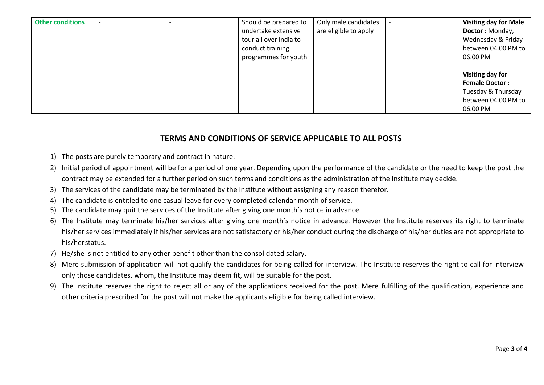| <b>Other conditions</b> |  | Should be prepared to  | Only male candidates  | <b>Visiting day for Male</b> |
|-------------------------|--|------------------------|-----------------------|------------------------------|
|                         |  | undertake extensive    | are eligible to apply | <b>Doctor: Monday,</b>       |
|                         |  | tour all over India to |                       | Wednesday & Friday           |
|                         |  | conduct training       |                       | between 04.00 PM to          |
|                         |  | programmes for youth   |                       | 06.00 PM                     |
|                         |  |                        |                       |                              |
|                         |  |                        |                       | Visiting day for             |
|                         |  |                        |                       | <b>Female Doctor:</b>        |
|                         |  |                        |                       | Tuesday & Thursday           |
|                         |  |                        |                       | between 04.00 PM to          |
|                         |  |                        |                       | 06.00 PM                     |

# **TERMS AND CONDITIONS OF SERVICE APPLICABLE TO ALL POSTS**

- 1) The posts are purely temporary and contract in nature.
- 2) Initial period of appointment will be for a period of one year. Depending upon the performance of the candidate or the need to keep the post the contract may be extended for a further period on such terms and conditions as the administration of the Institute may decide.
- 3) The services of the candidate may be terminated by the Institute without assigning any reason therefor.
- 4) The candidate is entitled to one casual leave for every completed calendar month of service.
- 5) The candidate may quit the services of the Institute after giving one month's notice in advance.
- 6) The Institute may terminate his/her services after giving one month's notice in advance. However the Institute reserves its right to terminate his/her services immediately if his/her services are not satisfactory or his/her conduct during the discharge of his/her duties are not appropriate to his/herstatus.
- 7) He/she is not entitled to any other benefit other than the consolidated salary.
- 8) Mere submission of application will not qualify the candidates for being called for interview. The Institute reserves the right to call for interview only those candidates, whom, the Institute may deem fit, will be suitable for the post.
- 9) The Institute reserves the right to reject all or any of the applications received for the post. Mere fulfilling of the qualification, experience and other criteria prescribed for the post will not make the applicants eligible for being called interview.